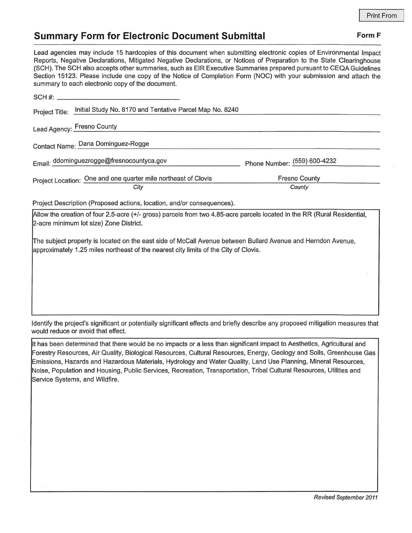## **Summary Form for Electronic Document Submittal Form F Form F**

Lead agencies may include 15 hardcopies of this document when submitting electronic copies of Environmental Impact Reports, Negative Declarations, Mitigated Negative Declarations, or Notices of Preparation to the State Clearinghouse (SCH). The SCH also accepts other summaries, such as EIR Executive Summaries prepared pursuant to CEQA Guidelines Section 15123. Please include one copy of the Notice of Completion Form (NOC) with your submission and attach the

| summary to each electronic copy of the document.                                                                         |                              |
|--------------------------------------------------------------------------------------------------------------------------|------------------------------|
|                                                                                                                          |                              |
| Initial Study No. 8170 and Tentative Parcel Map No. 8240<br>Project Title:                                               |                              |
| Lead Agency: Fresno County                                                                                               |                              |
| Contact Name: Dana Dominguez-Rogge                                                                                       |                              |
| Email: ddominguezrogge@fresnocountyca.gov                                                                                | Phone Number: (559) 600-4232 |
| Project Location: One and one quarter mile northeast of Clovis                                                           | <b>Fresno County</b>         |
| City                                                                                                                     | County                       |
| Project Description (Proposed actions, location, and/or consequences).                                                   |                              |
| Allow the creation of four 2.5-acre (+/- gross) parcels from two 4.85-acre parcels located in the RR (Rural Residential, |                              |
| 2-acre minimum lot size) Zone District.                                                                                  |                              |

lfhe subject property is located on the east side of McCall Avenue between Bullard Avenue and Herndon Avenue, approximately 1.25 miles northeast of the nearest city limits of the City of Clovis.

Identify the project's significant or potentially significant effects and briefly describe any proposed mitigation measures that would reduce or avoid that effect.

It has been determined that there would be no impacts or a less than significant impact to Aesthetics, Agricultural and Forestry Resources, Air Quality, Biological Resources, Cultural Resources, Energy, Geology and Soils, Greenhouse Gas Emissions, Hazards and Hazardous Materials, Hydrology and Water Quality, Land Use Planning, Mineral Resources, Noise, Population and Housing, Public Services, Recreation, Transportation, Tribal Cultural Resources, Utilities and Service Systems, and Wildfire.